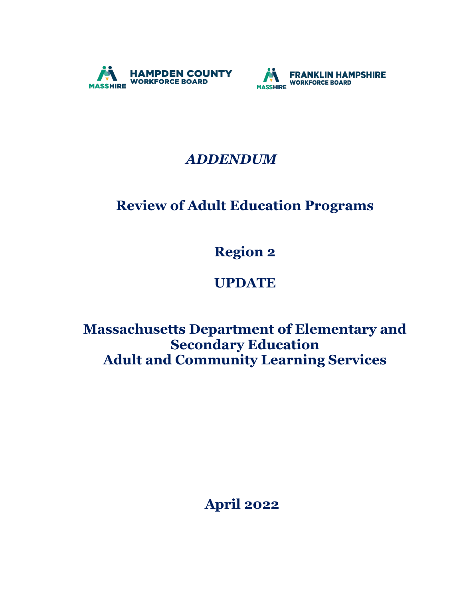



## *ADDENDUM*

# **Review of Adult Education Programs**

**Region 2**

## **UPDATE**

**Massachusetts Department of Elementary and Secondary Education Adult and Community Learning Services** 

 **April 2022**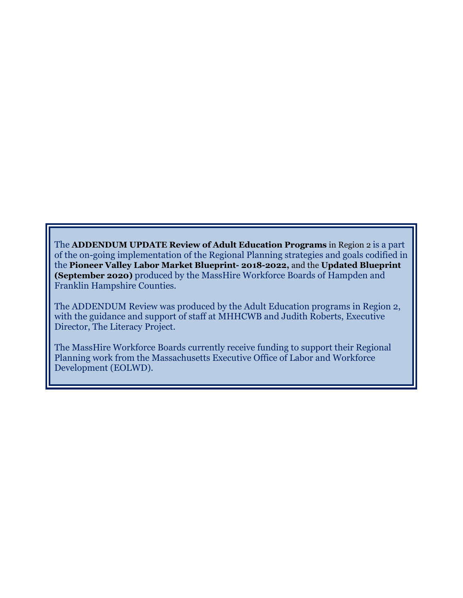The **ADDENDUM UPDATE Review of Adult Education Programs** in Region 2 is a part of the on-going implementation of the Regional Planning strategies and goals codified in the **Pioneer Valley Labor Market Blueprint- 2018-2022,** and the **Updated Blueprint (September 2020)** produced by the MassHire Workforce Boards of Hampden and Franklin Hampshire Counties.

The ADDENDUM Review was produced by the Adult Education programs in Region 2, with the guidance and support of staff at MHHCWB and Judith Roberts, Executive Director, The Literacy Project.

The MassHire Workforce Boards currently receive funding to support their Regional Planning work from the Massachusetts Executive Office of Labor and Workforce Development (EOLWD).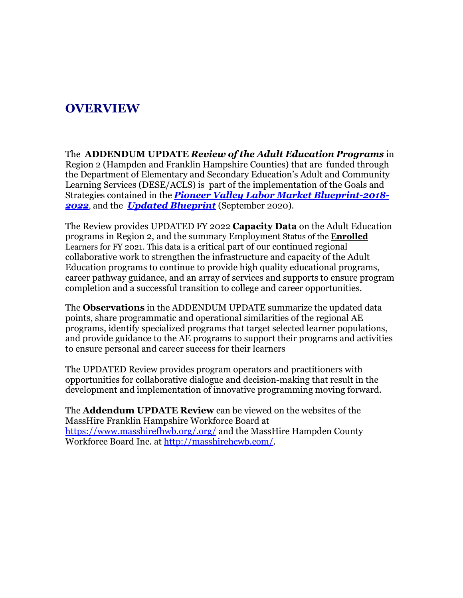## **OVERVIEW**

The **ADDENDUM UPDATE** *Review of the Adult Education Programs* in Region 2 (Hampden and Franklin Hampshire Counties) that are funded through the Department of Elementary and Secondary Education's Adult and Community Learning Services (DESE/ACLS) is part of the implementation of the Goals and Strategies contained in the *Pioneer Valley Labor Market Blueprint-2018- 2022*, and the *Updated Blueprint* (September 2020).

The Review provides UPDATED FY 2022 **Capacity Data** on the Adult Education programs in Region 2, and the summary Employment Status of the **Enrolled** Learners for FY 2021. This data is a critical part of our continued regional collaborative work to strengthen the infrastructure and capacity of the Adult Education programs to continue to provide high quality educational programs, career pathway guidance, and an array of services and supports to ensure program completion and a successful transition to college and career opportunities.

The **Observations** in the ADDENDUM UPDATE summarize the updated data points, share programmatic and operational similarities of the regional AE programs, identify specialized programs that target selected learner populations, and provide guidance to the AE programs to support their programs and activities to ensure personal and career success for their learners

The UPDATED Review provides program operators and practitioners with opportunities for collaborative dialogue and decision-making that result in the development and implementation of innovative programming moving forward.

The **Addendum UPDATE Review** can be viewed on the websites of the MassHire Franklin Hampshire Workforce Board at <https://www.masshirefhwb.org/>[.org/](http://franklinhampshirereb.org/) and the MassHire Hampden County Workforce Board Inc. at [http://masshirehcwb.com/.](http://masshirehcwb.com/)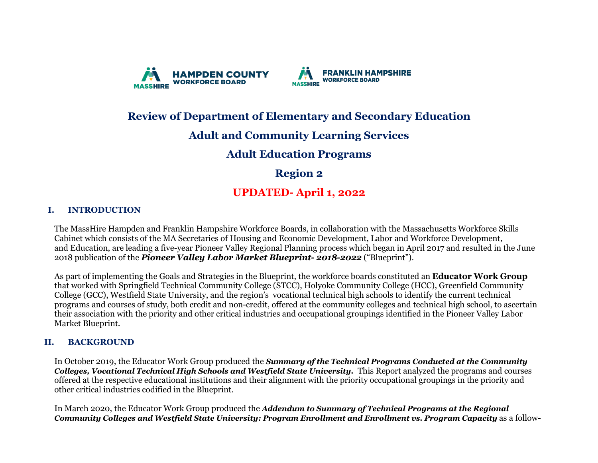



## **Review of Department of Elementary and Secondary Education**

### **Adult and Community Learning Services**

#### **Adult Education Programs**

### **Region 2**

### **UPDATED- April 1, 2022**

#### **I. INTRODUCTION**

The MassHire Hampden and Franklin Hampshire Workforce Boards, in collaboration with the Massachusetts Workforce Skills Cabinet which consists of the MA Secretaries of Housing and Economic Development, Labor and Workforce Development, and Education, are leading a five-year Pioneer Valley Regional Planning process which began in April 2017 and resulted in the June 2018 publication of the *Pioneer Valley Labor Market Blueprint- 2018-2022* ("Blueprint").

As part of implementing the Goals and Strategies in the Blueprint, the workforce boards constituted an **Educator Work Group** that worked with Springfield Technical Community College (STCC), Holyoke Community College (HCC), Greenfield Community College (GCC), Westfield State University, and the region's vocational technical high schools to identify the current technical programs and courses of study, both credit and non-credit, offered at the community colleges and technical high school, to ascertain their association with the priority and other critical industries and occupational groupings identified in the Pioneer Valley Labor Market Blueprint.

#### **II. BACKGROUND**

In October 2019, the Educator Work Group produced the *Summary of the Technical Programs Conducted at the Community Colleges, Vocational Technical High Schools and Westfield State University.* This Report analyzed the programs and courses offered at the respective educational institutions and their alignment with the priority occupational groupings in the priority and other critical industries codified in the Blueprint.

In March 2020, the Educator Work Group produced the *Addendum to Summary of Technical Programs at the Regional Community Colleges and Westfield State University: Program Enrollment and Enrollment vs. Program Capacity* as a follow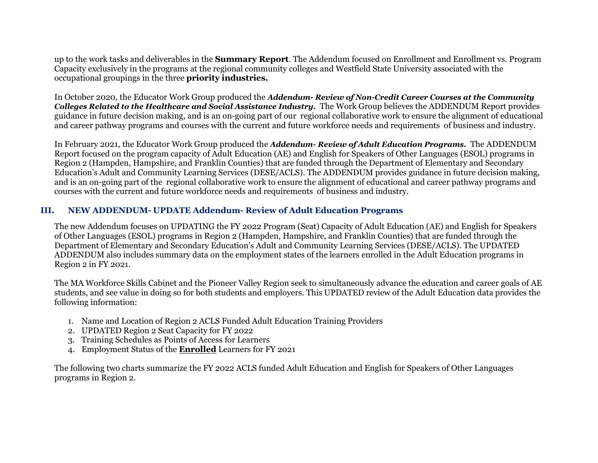up to the work tasks and deliverables in the **Summary Report**. The Addendum focused on Enrollment and Enrollment vs. Program Capacity exclusively in the programs at the regional community colleges and Westfield State University associated with the occupational groupings in the three **priority industries.**

In October 2020, the Educator Work Group produced the *Addendum- Review of Non-Credit Career Courses at the Community Colleges Related to the Healthcare and Social Assistance Industry.* The Work Group believes the ADDENDUM Report provides guidance in future decision making, and is an on-going part of our regional collaborative work to ensure the alignment of educational and career pathway programs and courses with the current and future workforce needs and requirements of business and industry.

In February 2021, the Educator Work Group produced the *Addendum- Review of Adult Education Programs.* The ADDENDUM Report focused on the program capacity of Adult Education (AE) and English for Speakers of Other Languages (ESOL) programs in Region 2 (Hampden, Hampshire, and Franklin Counties) that are funded through the Department of Elementary and Secondary Education's Adult and Community Learning Services (DESE/ACLS). The ADDENDUM provides guidance in future decision making, and is an on-going part of the regional collaborative work to ensure the alignment of educational and career pathway programs and courses with the current and future workforce needs and requirements of business and industry.

#### **III. NEW ADDENDUM- UPDATE Addendum- Review of Adult Education Programs**

The new Addendum focuses on UPDATING the FY 2022 Program (Seat) Capacity of Adult Education (AE) and English for Speakers of Other Languages (ESOL) programs in Region 2 (Hampden, Hampshire, and Franklin Counties) that are funded through the Department of Elementary and Secondary Education's Adult and Community Learning Services (DESE/ACLS). The UPDATED ADDENDUM also includes summary data on the employment states of the learners enrolled in the Adult Education programs in Region 2 in FY 2021.

The MA Workforce Skills Cabinet and the Pioneer Valley Region seek to simultaneously advance the education and career goals of AE students, and see value in doing so for both students and employers. This UPDATED review of the Adult Education data provides the following information:

- 1. Name and Location of Region 2 ACLS Funded Adult Education Training Providers
- 2. UPDATED Region 2 Seat Capacity for FY 2022
- 3. Training Schedules as Points of Access for Learners
- 4. Employment Status of the **Enrolled** Learners for FY 2021

The following two charts summarize the FY 2022 ACLS funded Adult Education and English for Speakers of Other Languages programs in Region 2.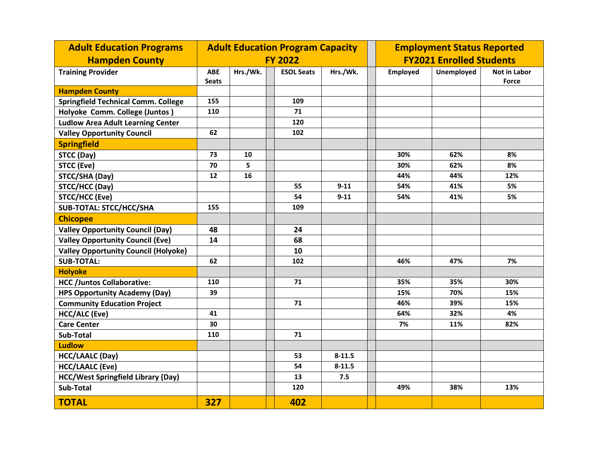| <b>Adult Education Programs</b>             | <b>Adult Education Program Capacity</b> |          |  |                   |                                 | <b>Employment Status Reported</b> |                   |                                     |  |
|---------------------------------------------|-----------------------------------------|----------|--|-------------------|---------------------------------|-----------------------------------|-------------------|-------------------------------------|--|
| <b>Hampden County</b>                       | <b>FY 2022</b>                          |          |  |                   | <b>FY2021 Enrolled Students</b> |                                   |                   |                                     |  |
| <b>Training Provider</b>                    | <b>ABE</b><br><b>Seats</b>              | Hrs./Wk. |  | <b>ESOL Seats</b> | Hrs./Wk.                        | <b>Employed</b>                   | <b>Unemployed</b> | <b>Not in Labor</b><br><b>Force</b> |  |
| <b>Hampden County</b>                       |                                         |          |  |                   |                                 |                                   |                   |                                     |  |
| <b>Springfield Technical Comm. College</b>  | 155                                     |          |  | 109               |                                 |                                   |                   |                                     |  |
| Holyoke Comm. College (Juntos)              | 110                                     |          |  | 71                |                                 |                                   |                   |                                     |  |
| <b>Ludlow Area Adult Learning Center</b>    |                                         |          |  | 120               |                                 |                                   |                   |                                     |  |
| <b>Valley Opportunity Council</b>           | 62                                      |          |  | 102               |                                 |                                   |                   |                                     |  |
| <b>Springfield</b>                          |                                         |          |  |                   |                                 |                                   |                   |                                     |  |
| STCC (Day)                                  | 73                                      | 10       |  |                   |                                 | 30%                               | 62%               | 8%                                  |  |
| <b>STCC (Eve)</b>                           | 70                                      | 5        |  |                   |                                 | 30%                               | 62%               | 8%                                  |  |
| STCC/SHA (Day)                              | 12                                      | 16       |  |                   |                                 | 44%                               | 44%               | 12%                                 |  |
| STCC/HCC (Day)                              |                                         |          |  | 55                | $9 - 11$                        | 54%                               | 41%               | 5%                                  |  |
| STCC/HCC (Eve)                              |                                         |          |  | 54                | $9 - 11$                        | 54%                               | 41%               | 5%                                  |  |
| <b>SUB-TOTAL: STCC/HCC/SHA</b>              | 155                                     |          |  | 109               |                                 |                                   |                   |                                     |  |
| <b>Chicopee</b>                             |                                         |          |  |                   |                                 |                                   |                   |                                     |  |
| <b>Valley Opportunity Council (Day)</b>     | 48                                      |          |  | 24                |                                 |                                   |                   |                                     |  |
| <b>Valley Opportunity Council (Eve)</b>     | 14                                      |          |  | 68                |                                 |                                   |                   |                                     |  |
| <b>Valley Opportunity Council (Holyoke)</b> |                                         |          |  | 10                |                                 |                                   |                   |                                     |  |
| <b>SUB-TOTAL:</b>                           | 62                                      |          |  | 102               |                                 | 46%                               | 47%               | 7%                                  |  |
| <b>Holyoke</b>                              |                                         |          |  |                   |                                 |                                   |                   |                                     |  |
| <b>HCC /Juntos Collaborative:</b>           | 110                                     |          |  | 71                |                                 | 35%                               | 35%               | 30%                                 |  |
| <b>HPS Opportunity Academy (Day)</b>        | 39                                      |          |  |                   |                                 | 15%                               | 70%               | 15%                                 |  |
| <b>Community Education Project</b>          |                                         |          |  | 71                |                                 | 46%                               | 39%               | 15%                                 |  |
| <b>HCC/ALC (Eve)</b>                        | 41                                      |          |  |                   |                                 | 64%                               | 32%               | 4%                                  |  |
| <b>Care Center</b>                          | 30                                      |          |  |                   |                                 | 7%                                | 11%               | 82%                                 |  |
| Sub-Total                                   | 110                                     |          |  | 71                |                                 |                                   |                   |                                     |  |
| <b>Ludlow</b>                               |                                         |          |  |                   |                                 |                                   |                   |                                     |  |
| <b>HCC/LAALC (Day)</b>                      |                                         |          |  | 53                | $8 - 11.5$                      |                                   |                   |                                     |  |
| <b>HCC/LAALC (Eve)</b>                      |                                         |          |  | 54                | $8 - 11.5$                      |                                   |                   |                                     |  |
| <b>HCC/West Springfield Library (Day)</b>   |                                         |          |  | 13                | 7.5                             |                                   |                   |                                     |  |
| Sub-Total                                   |                                         |          |  | 120               |                                 | 49%                               | 38%               | 13%                                 |  |
| <b>TOTAL</b>                                | 327                                     |          |  | 402               |                                 |                                   |                   |                                     |  |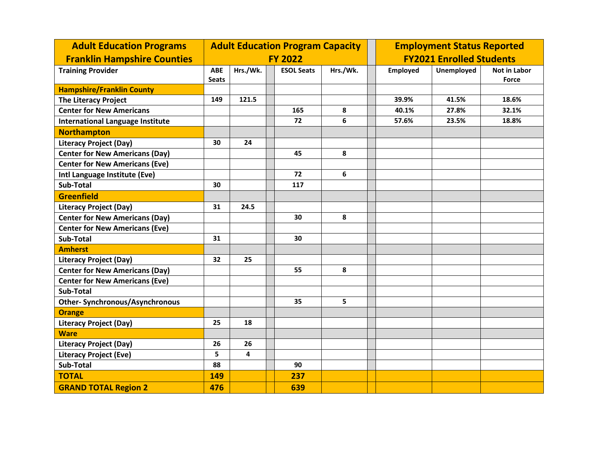| <b>Adult Education Programs</b>         | <b>Adult Education Program Capacity</b> |          |  |                   |          | <b>Employment Status Reported</b> |                   |                              |  |
|-----------------------------------------|-----------------------------------------|----------|--|-------------------|----------|-----------------------------------|-------------------|------------------------------|--|
| <b>Franklin Hampshire Counties</b>      | <b>FY 2022</b>                          |          |  |                   |          | <b>FY2021 Enrolled Students</b>   |                   |                              |  |
| <b>Training Provider</b>                | <b>ABE</b><br><b>Seats</b>              | Hrs./Wk. |  | <b>ESOL Seats</b> | Hrs./Wk. | <b>Employed</b>                   | <b>Unemployed</b> | Not in Labor<br><b>Force</b> |  |
| <b>Hampshire/Franklin County</b>        |                                         |          |  |                   |          |                                   |                   |                              |  |
| <b>The Literacy Project</b>             | 149                                     | 121.5    |  |                   |          | 39.9%                             | 41.5%             | 18.6%                        |  |
| <b>Center for New Americans</b>         |                                         |          |  | 165               | 8        | 40.1%                             | 27.8%             | 32.1%                        |  |
| <b>International Language Institute</b> |                                         |          |  | 72                | 6        | 57.6%                             | 23.5%             | 18.8%                        |  |
| <b>Northampton</b>                      |                                         |          |  |                   |          |                                   |                   |                              |  |
| <b>Literacy Project (Day)</b>           | 30                                      | 24       |  |                   |          |                                   |                   |                              |  |
| <b>Center for New Americans (Day)</b>   |                                         |          |  | 45                | 8        |                                   |                   |                              |  |
| <b>Center for New Americans (Eve)</b>   |                                         |          |  |                   |          |                                   |                   |                              |  |
| Intl Language Institute (Eve)           |                                         |          |  | 72                | 6        |                                   |                   |                              |  |
| Sub-Total                               | 30                                      |          |  | 117               |          |                                   |                   |                              |  |
| <b>Greenfield</b>                       |                                         |          |  |                   |          |                                   |                   |                              |  |
| <b>Literacy Project (Day)</b>           | 31                                      | 24.5     |  |                   |          |                                   |                   |                              |  |
| <b>Center for New Americans (Day)</b>   |                                         |          |  | 30                | 8        |                                   |                   |                              |  |
| <b>Center for New Americans (Eve)</b>   |                                         |          |  |                   |          |                                   |                   |                              |  |
| Sub-Total                               | 31                                      |          |  | 30                |          |                                   |                   |                              |  |
| <b>Amherst</b>                          |                                         |          |  |                   |          |                                   |                   |                              |  |
| <b>Literacy Project (Day)</b>           | 32                                      | 25       |  |                   |          |                                   |                   |                              |  |
| <b>Center for New Americans (Day)</b>   |                                         |          |  | 55                | 8        |                                   |                   |                              |  |
| <b>Center for New Americans (Eve)</b>   |                                         |          |  |                   |          |                                   |                   |                              |  |
| Sub-Total                               |                                         |          |  |                   |          |                                   |                   |                              |  |
| <b>Other- Synchronous/Asynchronous</b>  |                                         |          |  | 35                | 5        |                                   |                   |                              |  |
| <b>Orange</b>                           |                                         |          |  |                   |          |                                   |                   |                              |  |
| <b>Literacy Project (Day)</b>           | 25                                      | 18       |  |                   |          |                                   |                   |                              |  |
| <b>Ware</b>                             |                                         |          |  |                   |          |                                   |                   |                              |  |
| <b>Literacy Project (Day)</b>           | 26                                      | 26       |  |                   |          |                                   |                   |                              |  |
| <b>Literacy Project (Eve)</b>           | 5                                       | 4        |  |                   |          |                                   |                   |                              |  |
| Sub-Total                               | 88                                      |          |  | 90                |          |                                   |                   |                              |  |
| <b>TOTAL</b>                            | 149                                     |          |  | 237               |          |                                   |                   |                              |  |
| <b>GRAND TOTAL Region 2</b>             | 476                                     |          |  | 639               |          |                                   |                   |                              |  |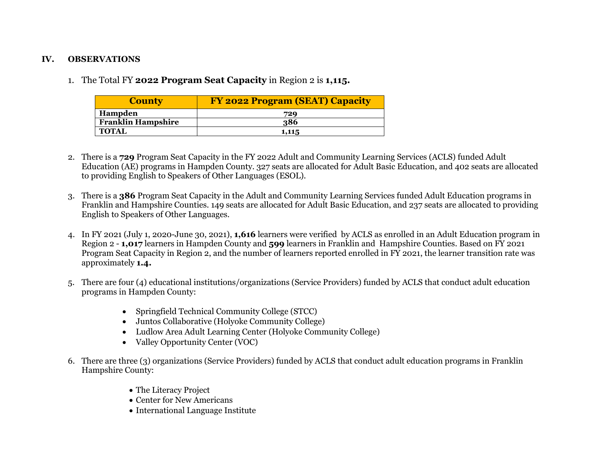#### **IV. OBSERVATIONS**

1. The Total FY **2022 Program Seat Capacity** in Region 2 is **1,115.**

| <b>County</b>             | <b>FY 2022 Program (SEAT) Capacity</b> |
|---------------------------|----------------------------------------|
| Hampden                   | 729                                    |
| <b>Franklin Hampshire</b> | 386                                    |
| <b>TOTAL</b>              | 1,115                                  |

- 2. There is a **729** Program Seat Capacity in the FY 2022 Adult and Community Learning Services (ACLS) funded Adult Education (AE) programs in Hampden County. 327 seats are allocated for Adult Basic Education, and 402 seats are allocated to providing English to Speakers of Other Languages (ESOL).
- 3. There is a **386** Program Seat Capacity in the Adult and Community Learning Services funded Adult Education programs in Franklin and Hampshire Counties. 149 seats are allocated for Adult Basic Education, and 237 seats are allocated to providing English to Speakers of Other Languages.
- 4. In FY 2021 (July 1, 2020-June 30, 2021), **1,616** learners were verified by ACLS as enrolled in an Adult Education program in Region 2 - **1,017** learners in Hampden County and **599** learners in Franklin and Hampshire Counties. Based on FY 2021 Program Seat Capacity in Region 2, and the number of learners reported enrolled in FY 2021, the learner transition rate was approximately **1.4.**
- 5. There are four (4) educational institutions/organizations (Service Providers) funded by ACLS that conduct adult education programs in Hampden County:
	- Springfield Technical Community College (STCC)
	- Juntos Collaborative (Holyoke Community College)
	- Ludlow Area Adult Learning Center (Holyoke Community College)
	- Valley Opportunity Center (VOC)
- 6. There are three (3) organizations (Service Providers) funded by ACLS that conduct adult education programs in Franklin Hampshire County:
	- The Literacy Project
	- Center for New Americans
	- International Language Institute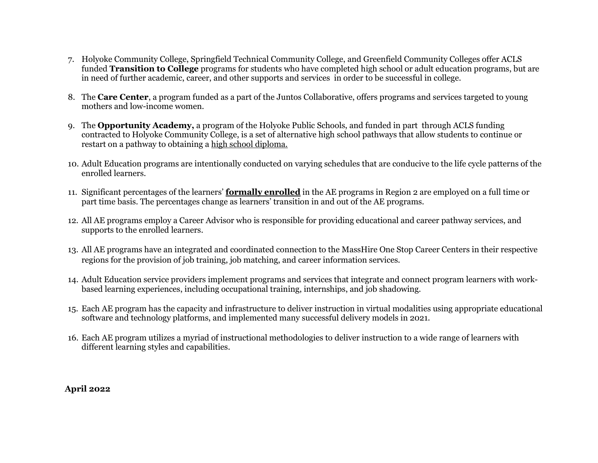- 7. Holyoke Community College, Springfield Technical Community College, and Greenfield Community Colleges offer ACLS funded **Transition to College** programs for students who have completed high school or adult education programs, but are in need of further academic, career, and other supports and services in order to be successful in college.
- 8. The **Care Center**, a program funded as a part of the Juntos Collaborative, offers programs and services targeted to young mothers and low-income women.
- 9. The **Opportunity Academy,** a program of the Holyoke Public Schools, and funded in part through ACLS funding contracted to Holyoke Community College, is a set of alternative high school pathways that allow students to continue or restart on a pathway to obtaining a high school diploma.
- 10. Adult Education programs are intentionally conducted on varying schedules that are conducive to the life cycle patterns of the enrolled learners.
- 11. Significant percentages of the learners' **formally enrolled** in the AE programs in Region 2 are employed on a full time or part time basis. The percentages change as learners' transition in and out of the AE programs.
- 12. All AE programs employ a Career Advisor who is responsible for providing educational and career pathway services, and supports to the enrolled learners.
- 13. All AE programs have an integrated and coordinated connection to the MassHire One Stop Career Centers in their respective regions for the provision of job training, job matching, and career information services.
- 14. Adult Education service providers implement programs and services that integrate and connect program learners with workbased learning experiences, including occupational training, internships, and job shadowing.
- 15. Each AE program has the capacity and infrastructure to deliver instruction in virtual modalities using appropriate educational software and technology platforms, and implemented many successful delivery models in 2021.
- 16. Each AE program utilizes a myriad of instructional methodologies to deliver instruction to a wide range of learners with different learning styles and capabilities.

 **April 2022**